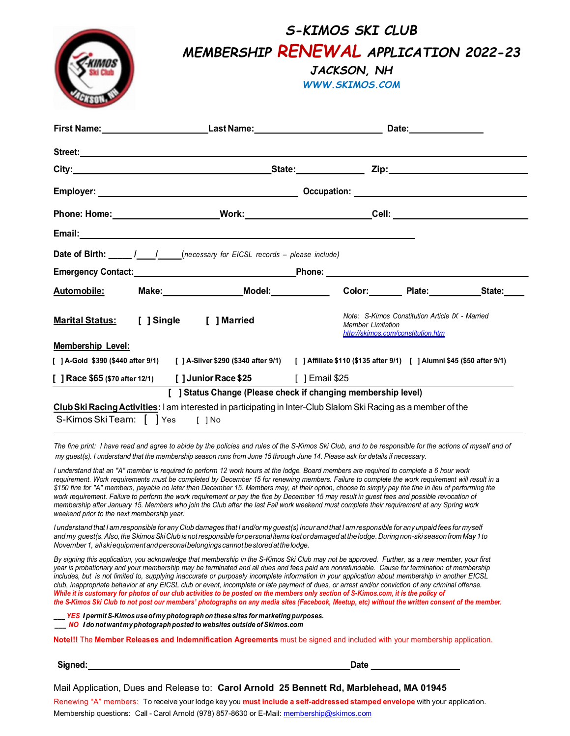| MEMBERSHIP RENEWAL APPLICATION 2022-23<br>JACKSON, NH                                                                                                                                                                                |
|--------------------------------------------------------------------------------------------------------------------------------------------------------------------------------------------------------------------------------------|
| <b>WWW.SKIMOS.COM</b>                                                                                                                                                                                                                |
|                                                                                                                                                                                                                                      |
| Street: <u>Andreas Andreas Andreas Andreas Andreas Andreas Andreas Andreas Andreas Andreas Andreas Andreas Andreas Andreas Andreas Andreas Andreas Andreas Andreas Andreas Andreas Andreas Andreas Andreas Andreas Andreas Andre</u> |
|                                                                                                                                                                                                                                      |
|                                                                                                                                                                                                                                      |
| Phone: Home:_________________________Work:___________________________Cell: _________________________                                                                                                                                 |
|                                                                                                                                                                                                                                      |
| Date of Birth: _____ /____ /____ (necessary for EICSL records - please include)                                                                                                                                                      |
|                                                                                                                                                                                                                                      |
| Make: Model: Model: Color: Plate: State:<br>Automobile:                                                                                                                                                                              |
|                                                                                                                                                                                                                                      |
| Note: S-Kimos Constitution Article IX - Married<br>[ ] Single<br>[ ] Married<br><b>Marital Status:</b><br><b>Member Limitation</b><br>http://skimos.com/constitution.htm                                                             |
| <b>Membership Level:</b>                                                                                                                                                                                                             |
| [ ] A-Gold \$390 (\$440 after 9/1)<br>[91] A-Silver \$290 (\$340 after 9/1) [91] Affiliate \$110 (\$135 after 9/1) [91] Alumni \$45 (\$50 after 9                                                                                    |
| [ ] Race \$65 (\$70 after 12/1) [ ] Junior Race \$25 [ ] Email \$25                                                                                                                                                                  |
| [ ] Status Change (Please check if changing membership level)                                                                                                                                                                        |

The fine print: I have read and agree to abide by the policies and rules of the S-Kimos Ski Club, and to be responsible for the actions of myself and of my guest(s). I understand that the membership season runs from June 15 through June 14. Please ask for details if necessary.

I understand that an "A" member is required to perform 12 work hours at the lodge. Board members are required to complete a 6 hour work requirement. Work requirements must be completed by December 15 for renewing members. Failure to complete the work requirement will result in a \$150 fine for "A" members, payable no later than December 15. Members may, at their option, choose to simply pay the fine in lieu of performing the work requirement. Failure to perform the work requirement or pay the fine by December 15 may result in guest fees and possible revocation of membership after January 15. Members who join the Club after the last Fall work weekend must complete their requirement at any Spring work weekend prior to the next membership year.

I understand that I am responsible for any Club damages that I and/or my guest(s) incur and that I am responsible for any unpaid fees for myself and my guest(s. Also, the Skimos Ski Club is not responsible for personal items lost or damaged at the lodge. During non-ski season from May 1 to November 1, all ski equipment and personal belongings cannot be stored at the lodge.

By signing this application, you acknowledge that membership in the S-Kimos Ski Club may not be approved. Further, as a new member, your first year is probationary and your membership may be terminated and all dues and fees paid are nonrefundable. Cause for termination of membership includes, but is not limited to, supplying inaccurate or purposely incomplete information in your application about membership in another EICSL club, inappropriate behavior at any EICSL club or event, incomplete or late payment of dues, or arrest and/or conviction of any criminal offense. While it is customary for photos of our club activities to be posted on the members only section of S-Kimos.com, it is the policy of the S-Kimos Ski Club to not post our members' photographs on any media sites (Facebook, Meetup, etc) without the written consent of the member.

\_YES I permit S-Kimos use of my photograph on these sites for marketing purposes.

\_\_\_ NO I do not want my photograph posted to websites outside of Skimos.com

Note!!! The Member Releases and Indemnification Agreements must be signed and included with your membership application.

Signed: Date Date Contract Contract Contract Contract Contract Contract Contract Contract Contract Contract Contract Contract Contract Contract Contract Contract Contract Contract Contract Contract Contract Contract Contra

Mail Application, Dues and Release to: Carol Arnold 25 Bennett Rd, Marblehead, MA 01945

Renewing "A" members: To receive your lodge key you **must include a self-addressed stamped envelope** with your application. Membership questions: Call - Carol Arnold (978) 857-8630 or E-Mail: <u>membership@skimos.com</u>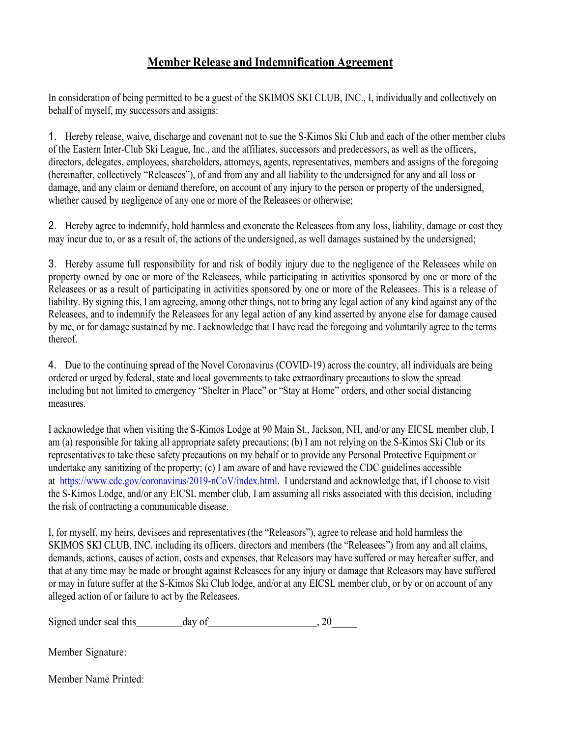## Member Release and Indemnification Agreement

In consideration of being permitted to be a guest of the SKIMOS SKI CLUB, INC., I, individually and collectively on behalf of myself, my successors and assigns:

1. Hereby release, waive, discharge and covenant not to sue the S-Kimos Ski Club and each of the other member clubs of the Eastern Inter-Club Ski League, Inc., and the affiliates, successors and predecessors, as well as the officers, directors, delegates, employees, shareholders, attorneys, agents, representatives, members and assigns of the foregoing (hereinafter, collectively "Releasees"), of and from any and all liability to the undersigned for any and all loss or damage, and any claim or demand therefore, on account of any injury to the person or property of the undersigned, whether caused by negligence of any one or more of the Releasees or otherwise;

2. Hereby agree to indemnify, hold harmless and exonerate the Releasees from any loss, liability, damage or cost they may incur due to, or as a result of, the actions of the undersigned, as well damages sustained by the undersigned;

3. Hereby assume full responsibility for and risk of bodily injury due to the negligence of the Releasees while on property owned by one or more of the Releasees, while participating in activities sponsored by one or more of the Releasees or as a result of participating in activities sponsored by one or more of the Releasees. This is a release of liability. By signing this, I am agreeing, among other things, not to bring any legal action of any kind against any of the Releasees, and to indemnify the Releasees for any legal action of any kind asserted by anyone else for damage caused by me, or for damage sustained by me. I acknowledge that I have read the foregoing and voluntarily agree to the terms thereof.

4. Due to the continuing spread of the Novel Coronavirus (COVID-19) across the country, all individuals are being ordered or urged by federal, state and local governments to take extraordinary precautions to slow the spread including but not limited to emergency "Shelter in Place" or "Stay at Home" orders, and other social distancing measures.

 I acknowledge that when visiting the S-Kimos Lodge at 90 Main St., Jackson, NH, and/or any EICSL member club, I am (a) responsible for taking all appropriate safety precautions; (b) I am not relying on the S-Kimos Ski Club or its representatives to take these safety precautions on my behalf or to provide any Personal Protective Equipment or undertake any sanitizing of the property; (c) I am aware of and have reviewed the CDC guidelines accessible at https://www.cdc.gov/coronavirus/2019-nCoV/index.html. I understand and acknowledge that, if I choose to visit the S-Kimos Lodge, and/or any EICSL member club, I am assuming all risks associated with this decision, including the risk of contracting a communicable disease.

 I, for myself, my heirs, devisees and representatives (the "Releasors"), agree to release and hold harmless the SKIMOS SKI CLUB, INC. including its officers, directors and members (the "Releasees") from any and all claims, demands, actions, causes of action, costs and expenses, that Releasors may have suffered or may hereafter suffer, and that at any time may be made or brought against Releasees for any injury or damage that Releasors may have suffered or may in future suffer at the S-Kimos Ski Club lodge, and/or at any EICSL member club, or by or on account of any alleged action of or failure to act by the Releasees.

Signed under seal this day of , 20

Member Signature:

Member Name Printed: